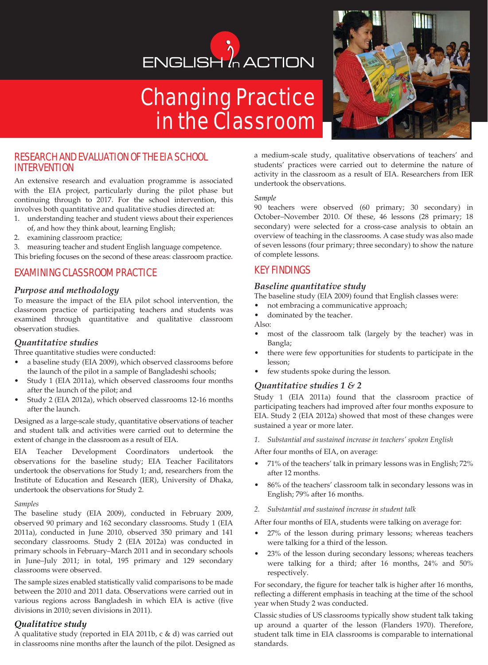# ENGLISH<sup>'</sup> ACTION

# Changing Practice in the Classroom



# RESEARCH AND EVALUATION OF THE EIA SCHOOL INTERVENTION

An extensive research and evaluation programme is associated with the EIA project, particularly during the pilot phase but continuing through to 2017. For the school intervention, this involves both quantitative and qualitative studies directed at:

- 1. understanding teacher and student views about their experiences of, and how they think about, learning English;
- 2. examining classroom practice;
- 3. measuring teacher and student English language competence.

This briefing focuses on the second of these areas: classroom practice.

# EXAMINING CLASSROOM PRACTICE

#### *Purpose and methodology*

To measure the impact of the EIA pilot school intervention, the classroom practice of participating teachers and students was examined through quantitative and qualitative classroom observation studies.

#### *Quantitative studies*

Three quantitative studies were conducted:

- a baseline study (EIA 2009), which observed classrooms before the launch of the pilot in a sample of Bangladeshi schools;
- Study 1 (EIA 2011a), which observed classrooms four months after the launch of the pilot; and
- Study 2 (EIA 2012a), which observed classrooms 12-16 months after the launch.

Designed as a large-scale study, quantitative observations of teacher and student talk and activities were carried out to determine the extent of change in the classroom as a result of EIA.

EIA Teacher Development Coordinators undertook the observations for the baseline study; EIA Teacher Facilitators undertook the observations for Study 1; and, researchers from the Institute of Education and Research (IER), University of Dhaka, undertook the observations for Study 2.

#### *Samples*

The baseline study (EIA 2009), conducted in February 2009, observed 90 primary and 162 secondary classrooms. Study 1 (EIA 2011a), conducted in June 2010, observed 350 primary and 141 secondary classrooms. Study 2 (EIA 2012a) was conducted in primary schools in February–March 2011 and in secondary schools in June–July 2011; in total, 195 primary and 129 secondary classrooms were observed.

The sample sizes enabled statistically valid comparisons to be made between the 2010 and 2011 data. Observations were carried out in various regions across Bangladesh in which EIA is active (five divisions in 2010; seven divisions in 2011).

#### *Qualitative study*

A qualitative study (reported in EIA 2011b, c & d) was carried out in classrooms nine months after the launch of the pilot. Designed as a medium-scale study, qualitative observations of teachers' and students' practices were carried out to determine the nature of activity in the classroom as a result of EIA. Researchers from IER undertook the observations.

#### *Sample*

90 teachers were observed (60 primary; 30 secondary) in October–November 2010. Of these, 46 lessons (28 primary; 18 secondary) were selected for a cross-case analysis to obtain an overview of teaching in the classrooms. A case study was also made of seven lessons (four primary; three secondary) to show the nature of complete lessons.

# KEY FINDINGS

#### *Baseline quantitative study*

The baseline study (EIA 2009) found that English classes were:

- not embracing a communicative approach;
- dominated by the teacher.
- Also:
- most of the classroom talk (largely by the teacher) was in Bangla;
- there were few opportunities for students to participate in the lesson;
- few students spoke during the lesson.

#### *Quantitative studies 1 & 2*

Study 1 (EIA 2011a) found that the classroom practice of participating teachers had improved after four months exposure to EIA. Study 2 (EIA 2012a) showed that most of these changes were sustained a year or more later.

*1. Substantial and sustained increase in teachers' spoken English*

After four months of EIA, on average:

- 71% of the teachers' talk in primary lessons was in English; 72% after 12 months.
- 86% of the teachers' classroom talk in secondary lessons was in English; 79% after 16 months.
- *2. Substantial and sustained increase in student talk*

After four months of EIA, students were talking on average for:

- 27% of the lesson during primary lessons; whereas teachers were talking for a third of the lesson.
- 23% of the lesson during secondary lessons; whereas teachers were talking for a third; after 16 months, 24% and 50% respectively.

For secondary, the figure for teacher talk is higher after 16 months, reflecting a different emphasis in teaching at the time of the school year when Study 2 was conducted.

Classic studies of US classrooms typically show student talk taking up around a quarter of the lesson (Flanders 1970). Therefore, student talk time in EIA classrooms is comparable to international standards.